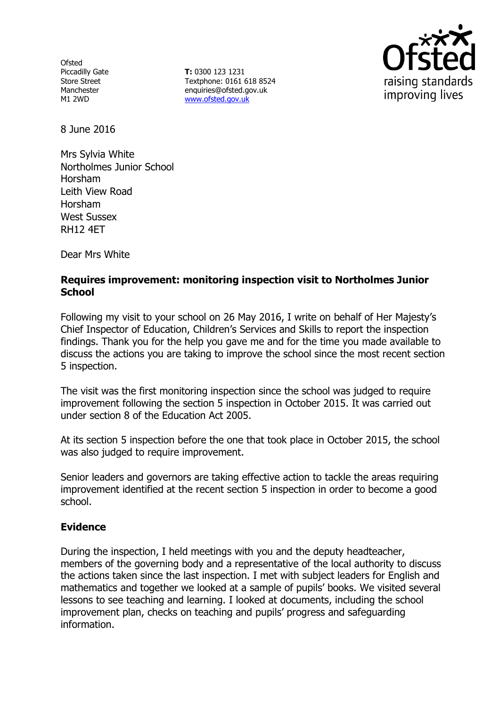**Ofsted** Piccadilly Gate Store Street Manchester M1 2WD

**T:** 0300 123 1231 Textphone: 0161 618 8524 enquiries@ofsted.gov.uk www.ofsted.gov.uk



8 June 2016

Mrs Sylvia White Northolmes Junior School Horsham Leith View Road Horsham West Sussex RH12 4ET

Dear Mrs White

## **Requires improvement: monitoring inspection visit to Northolmes Junior School**

Following my visit to your school on 26 May 2016, I write on behalf of Her Majesty's Chief Inspector of Education, Children's Services and Skills to report the inspection findings. Thank you for the help you gave me and for the time you made available to discuss the actions you are taking to improve the school since the most recent section 5 inspection.

The visit was the first monitoring inspection since the school was judged to require improvement following the section 5 inspection in October 2015. It was carried out under section 8 of the Education Act 2005.

At its section 5 inspection before the one that took place in October 2015, the school was also judged to require improvement.

Senior leaders and governors are taking effective action to tackle the areas requiring improvement identified at the recent section 5 inspection in order to become a good school.

### **Evidence**

During the inspection, I held meetings with you and the deputy headteacher, members of the governing body and a representative of the local authority to discuss the actions taken since the last inspection. I met with subject leaders for English and mathematics and together we looked at a sample of pupils' books. We visited several lessons to see teaching and learning. I looked at documents, including the school improvement plan, checks on teaching and pupils' progress and safeguarding information.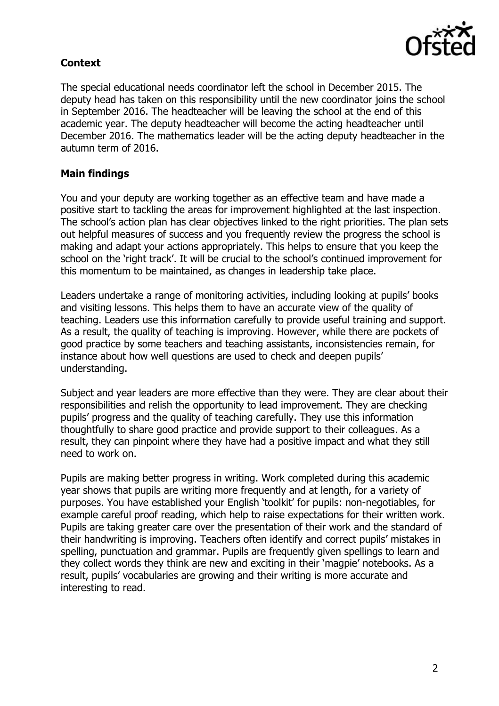

# **Context**

The special educational needs coordinator left the school in December 2015. The deputy head has taken on this responsibility until the new coordinator joins the school in September 2016. The headteacher will be leaving the school at the end of this academic year. The deputy headteacher will become the acting headteacher until December 2016. The mathematics leader will be the acting deputy headteacher in the autumn term of 2016.

## **Main findings**

You and your deputy are working together as an effective team and have made a positive start to tackling the areas for improvement highlighted at the last inspection. The school's action plan has clear objectives linked to the right priorities. The plan sets out helpful measures of success and you frequently review the progress the school is making and adapt your actions appropriately. This helps to ensure that you keep the school on the 'right track'. It will be crucial to the school's continued improvement for this momentum to be maintained, as changes in leadership take place.

Leaders undertake a range of monitoring activities, including looking at pupils' books and visiting lessons. This helps them to have an accurate view of the quality of teaching. Leaders use this information carefully to provide useful training and support. As a result, the quality of teaching is improving. However, while there are pockets of good practice by some teachers and teaching assistants, inconsistencies remain, for instance about how well questions are used to check and deepen pupils' understanding.

Subject and year leaders are more effective than they were. They are clear about their responsibilities and relish the opportunity to lead improvement. They are checking pupils' progress and the quality of teaching carefully. They use this information thoughtfully to share good practice and provide support to their colleagues. As a result, they can pinpoint where they have had a positive impact and what they still need to work on.

Pupils are making better progress in writing. Work completed during this academic year shows that pupils are writing more frequently and at length, for a variety of purposes. You have established your English 'toolkit' for pupils: non-negotiables, for example careful proof reading, which help to raise expectations for their written work. Pupils are taking greater care over the presentation of their work and the standard of their handwriting is improving. Teachers often identify and correct pupils' mistakes in spelling, punctuation and grammar. Pupils are frequently given spellings to learn and they collect words they think are new and exciting in their 'magpie' notebooks. As a result, pupils' vocabularies are growing and their writing is more accurate and interesting to read.